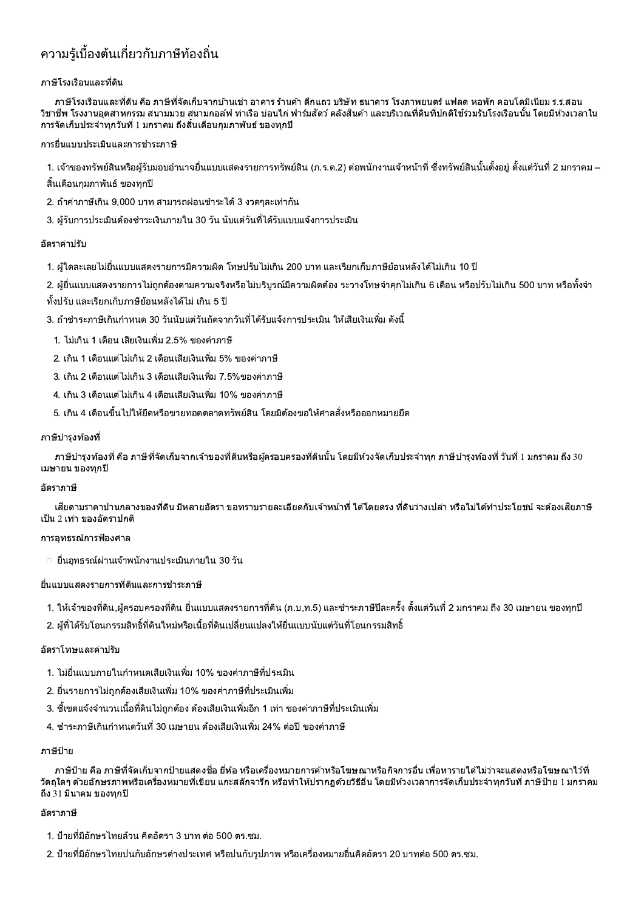# ีความร้เบื้องต้นเกี่ยวกับภาษีท้องถิ่น

## ภาษีโรงเรือนและที่ดิน

ึภาษีโรงเรือนและที่ดิน คือ ภาษีที่จัดเก็บจากบ้านเช่า อาคาร ร้านค้า ตึกแถว บริษัท ธนาคาร โรงภาพยนตร์ แฟลต หอพัก คอนโดมิเนียม ร.ร.สอน ีวิชาชีพ โรงงานอุตสาหกรรม สนามมวย สนามกอล์ฟ ท่าเรือ บ่อนไก่ ฟาร์มสัตว์ คลังสินค้า และบริเวณที่ดินที่ปกติใช้ร่วมรับโรงเรือนนั้น โดยมีห้วงเวลาใน ึการจัดเก็บประจำทุกวันที่ 1 มกราคม ถึงสิ้นเดือนกุมภาพันธ์ ของทุกปี

## ี การยื่นแบบประเมินและการชำระภาษี

1. เจ้าของทรัพย์สินหรือผู้รับมอบอำนาจยื่นแบบแสดงรายการทรัพย์สิน (ภ.ร.ด.2) ต่อพนักงานเจ้าหน้าที่ ซึ่งทรัพย์สินนั้นตั้งอยู่ ตั้งแต่วันที่ 2 มกราคม –

- ้สิ้นเดือนกมภาพันธ์ ของทุกปี
- 2. ถ้าค่าภาษีเกิน 9,000 บาท สามารถผ่อนชำระได้ 3 งวดๆละเท่ากัน
- ่ 3. ผู้รับการประเมินต้องชำระเงินภายใน 30 วัน นับแต่วันที่ได้รับแบบแจ้งการประเมิน

## อัตราค่าปรับ

- 1. ผู้ใดละเลยไม่ยื่นแบบแสดงรายการมีความผิด โทษปรับไม่เกิน 200 บาท และเรียกเก็บภาษีย้อนหลังได้ไม่เกิน 10 ปี
- ่ 2. ผู้ยื่นแบบแสดงรายการไม่ถูกต้องตามความจริงหรือไม่บริบรณ์มีความผิดต้อง ระวางโทษจำคกไม่เกิน 6 เดือน หรือปรับไม่เกิน 500 บาท หรือทั้งจำ
- ้ ทั้งปรับ และเรียกเก็บภาษีย้อนหลังได้ไม่ เกิน 5 ปี
- ่ 3. ถ้าชำระภาษีเกินกำหนด 30 วันนับแต่วันถัดจากวันที่ได้รับแจ้งการประเมิน ให้เสียเงินเพิ่ม ดังนี้
	- 1. ไม่เกิน 1 เดือน เสียเงินเพิ่ม 2.5% ของค่าภาษี
- 2. เกิน 1 เดือนแต่ไม่เกิน 2 เดือนเสียเงินเพิ่ม 5% ของค่าภาษี
- 3. เกิน 2 เดือนแต่ไม่เกิน 3 เดือนเสียเงินเพิ่ม 7.5%ของค่าภาษี
- ่ 4. เกิน 3 เดือนแต่ไม่เกิน 4 เดือนเสียเงินเพิ่ม 10% ของค่าภาษี
- .5. เกิน 4 เดือนขึ้นไปให้ยึดหรือขายทอดตลาดทรัพย์สิน โดยมิต้องขอให้ศาลสั่งหรือออกหมายยึด

## ี ภาษีบำรงท*้*องที่

่ ภาษีบำรงท้องที่ คือ ภาษีที่จัดเก็บจากเจ้าของที่ดินหรือผ้ครอบครองที่ดินนั้น โดยมีห้วงจัดเก็บประจำทก ภาษีบำรงท้องที่ วันที่ ! มกราคม ถึง 30 เมษายน ของทกปี

## อัตราภาษี

้เสียดามราคาปานกลางของที่ดิน มีหลายอัตรา ขอทราบรายละเอียดกับเจ้าหน้าที่ ได่โดยตรง ที่ดินว่างเปล่า หรือไม่ได้ทำประโยชน์ จะต้องเสียภาษี ้เป็น 2 เท่า ของอัตราปกติ

# การอทธรณ์การฟ้องศาล

ี่ □ ยื่นอุทธรณ์ผ่านเจ้าพนักงานประเมินภายใน 30 วัน

## ยื่นแบบแสดงรายการที่ดินและการชำระภาษี

- 1. ให้เจ้าของที่ดิน,ผู้ครอบครองที่ดิน ยื่นแบบแสดงรายการที่ดิน (ภ.บ,ท.5) และชำระภาษีปีละครั้ง ตั้งแต่วันที่ 2 มกราคม ถึง 30 เมษายน ของทุกปี
- ่ 2. ผ้ที่ได้รับโอนกรรมสิทธิ์ที่ดินใหม่หรือเนื้อที่ดินเปลี่ยนแปลงให้ยื่นแบบนับแต่วันที่โอนกรรมสิทธิ์

#### อัตราโทษและค่าปรับ

- 1. ไม่ยื่นแบบภายในกำหนดเสียเงินเพิ่ม 10% ของค่าภาษีที่ประเมิน
- ่ 2. ยื่นรายการไม่ถกต้องเสียเงินเพิ่ม 10% ของค่าภาษีที่ประเมินเพิ่ม
- ่ 3. ชี้เขตแจ้งจำนวนเนื้อที่ดินไม่ถูกต้อง ต้องเสียเงินเพิ่มอีก 1 เท่า ของค่าภาษีที่ประเมินเพิ่ม
- 4. ชำระภาษีเกินกำหนดวันที่ 30 เมษายน ต้องเสียเงินเพิ่ม 24% ต่อปี ของค่าภาษี

#### ภาษีป้าย

่ ภาษีป้าย คือ ภาษีที่จัดเก็บจากป้ายแสดงชื่อ ยี่ห้อ หรือเครื่องหมายการค้าหรือโฆษณาหรือกิจการอื่น เพื่อหารายได้ไม่ว่าจะแสดงหรือโฆษณาไว้ที่ ้วัตถุใดๆ ด้วยอักษรภาพหรือเครื่องหมายที่เขียน แกะสลักจารึก หรือทำให้ปรากฏด้วยวิธีอื่น โดยมีห้วงเวลาการจัดเก็บประจำทุกวันที่ ภาษีป้าย 1 มกราคม ้ถึง 31 มีนาคม ของทุกปี

#### ุอัตราภาษี

- 1. ป้ายที่มีอักษรไทยล้วน คิดอัตรา 3 บาท ต่อ 500 ตร.ซม.
- ่ 2. ป้ายที่มีอักษรไทยปนกับอักษรต่างประเทศ หรือปนกับรูปภาพ หรือเครื่องหมายอื่นคิดอัตรา 20 บาทต่อ 500 ตร.ซม.